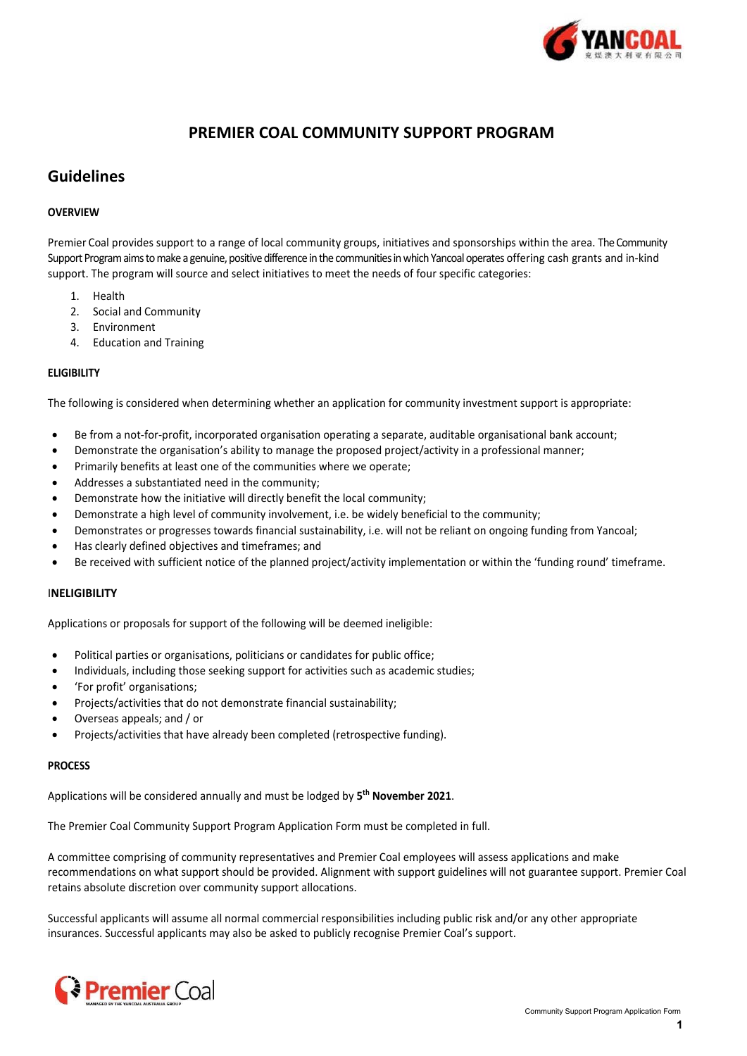

## **PREMIER COAL COMMUNITY SUPPORT PROGRAM**

## **Guidelines**

### **OVERVIEW**

Premier Coal provides support to a range of local community groups, initiatives and sponsorships within the area. The Community Support Program aims to make a genuine, positive difference in the communities in which Yancoal operates offering cash grants and in‐kind support. The program will source and select initiatives to meet the needs of four specific categories:

- 1. Health
- 2. Social and Community
- 3. Environment
- 4. Education and Training

### **ELIGIBILITY**

The following is considered when determining whether an application for community investment support is appropriate:

- Be from a not-for-profit, incorporated organisation operating a separate, auditable organisational bank account;
- Demonstrate the organisation's ability to manage the proposed project/activity in a professional manner;
- Primarily benefits at least one of the communities where we operate;
- Addresses a substantiated need in the community;
- Demonstrate how the initiative will directly benefit the local community;
- Demonstrate a high level of community involvement, i.e. be widely beneficial to the community;
- Demonstrates or progresses towards financial sustainability, i.e. will not be reliant on ongoing funding from Yancoal;
- Has clearly defined objectives and timeframes; and
- Be received with sufficient notice of the planned project/activity implementation or within the 'funding round' timeframe.

### I**NELIGIBILITY**

Applications or proposals for support of the following will be deemed ineligible:

- Political parties or organisations, politicians or candidates for public office;
- Individuals, including those seeking support for activities such as academic studies;
- 'For profit' organisations;
- Projects/activities that do not demonstrate financial sustainability;
- Overseas appeals; and / or
- Projects/activities that have already been completed (retrospective funding).

### **PROCESS**

Applications will be considered annually and must be lodged by **5 th November 2021**.

The Premier Coal Community Support Program Application Form must be completed in full.

A committee comprising of community representatives and Premier Coal employees will assess applications and make recommendations on what support should be provided. Alignment with support guidelines will not guarantee support. Premier Coal retains absolute discretion over community support allocations.

Successful applicants will assume all normal commercial responsibilities including public risk and/or any other appropriate insurances. Successful applicants may also be asked to publicly recognise Premier Coal's support.

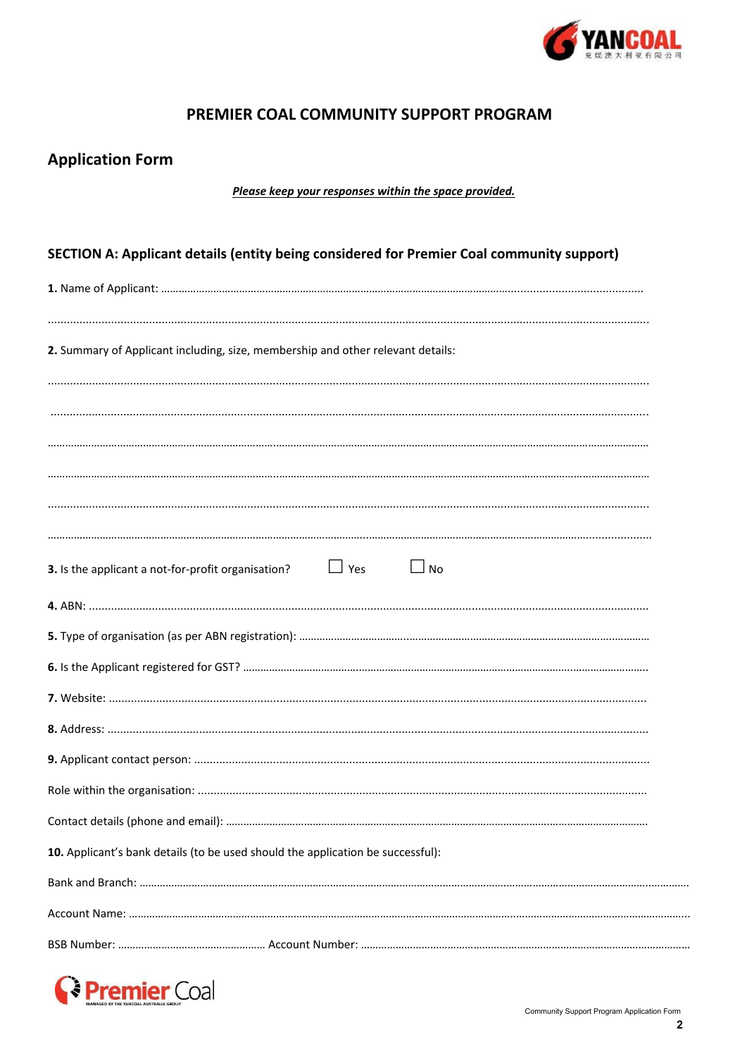

# PREMIER COAL COMMUNITY SUPPORT PROGRAM

|  | <b>Application Form</b> |  |
|--|-------------------------|--|
|--|-------------------------|--|

Please keep your responses within the space provided.

| SECTION A: Applicant details (entity being considered for Premier Coal community support) |  |  |  |  |  |  |
|-------------------------------------------------------------------------------------------|--|--|--|--|--|--|
|                                                                                           |  |  |  |  |  |  |
|                                                                                           |  |  |  |  |  |  |
| 2. Summary of Applicant including, size, membership and other relevant details:           |  |  |  |  |  |  |
|                                                                                           |  |  |  |  |  |  |
|                                                                                           |  |  |  |  |  |  |
|                                                                                           |  |  |  |  |  |  |
|                                                                                           |  |  |  |  |  |  |
|                                                                                           |  |  |  |  |  |  |
|                                                                                           |  |  |  |  |  |  |
| $\Box$ Yes<br>$\Box$ No<br>3. Is the applicant a not-for-profit organisation?             |  |  |  |  |  |  |
|                                                                                           |  |  |  |  |  |  |
|                                                                                           |  |  |  |  |  |  |
|                                                                                           |  |  |  |  |  |  |
|                                                                                           |  |  |  |  |  |  |
|                                                                                           |  |  |  |  |  |  |
|                                                                                           |  |  |  |  |  |  |
|                                                                                           |  |  |  |  |  |  |
|                                                                                           |  |  |  |  |  |  |
| 10. Applicant's bank details (to be used should the application be successful):           |  |  |  |  |  |  |
|                                                                                           |  |  |  |  |  |  |
|                                                                                           |  |  |  |  |  |  |
|                                                                                           |  |  |  |  |  |  |

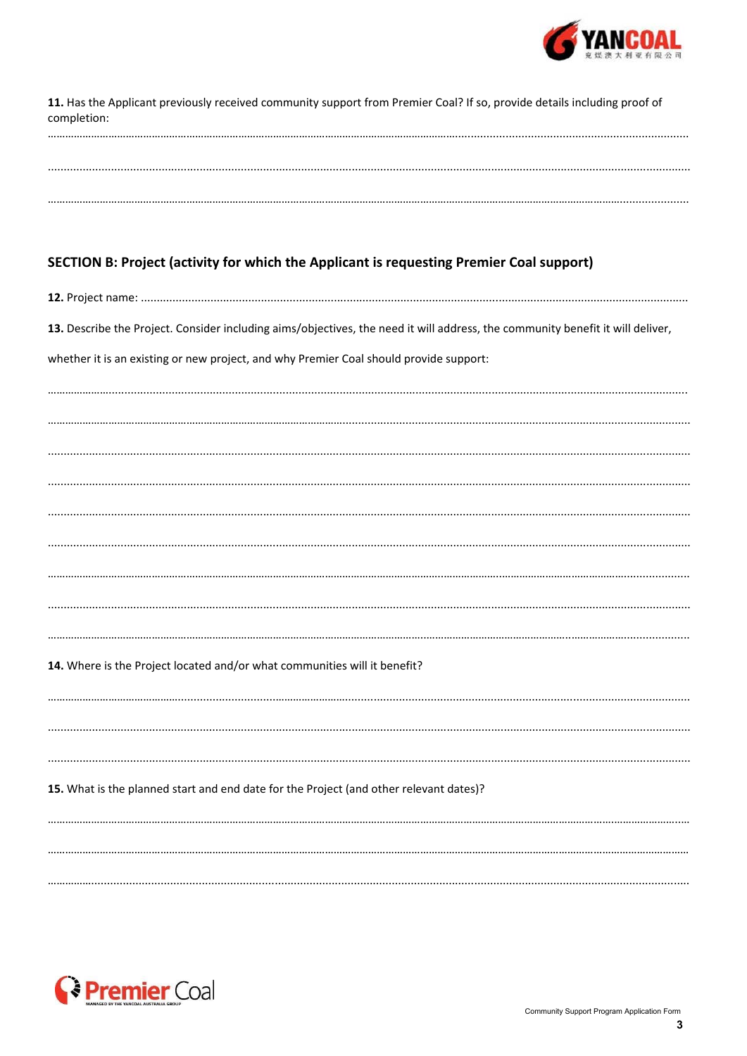

| 11. Has the Applicant previously received community support from Premier Coal? If so, provide details including proof of<br>completion: |  |  |  |  |  |
|-----------------------------------------------------------------------------------------------------------------------------------------|--|--|--|--|--|
|                                                                                                                                         |  |  |  |  |  |
|                                                                                                                                         |  |  |  |  |  |
|                                                                                                                                         |  |  |  |  |  |
| SECTION B: Project (activity for which the Applicant is requesting Premier Coal support)                                                |  |  |  |  |  |
|                                                                                                                                         |  |  |  |  |  |
| 13. Describe the Project. Consider including aims/objectives, the need it will address, the community benefit it will deliver,          |  |  |  |  |  |
| whether it is an existing or new project, and why Premier Coal should provide support:                                                  |  |  |  |  |  |
|                                                                                                                                         |  |  |  |  |  |
|                                                                                                                                         |  |  |  |  |  |
|                                                                                                                                         |  |  |  |  |  |
|                                                                                                                                         |  |  |  |  |  |
|                                                                                                                                         |  |  |  |  |  |
|                                                                                                                                         |  |  |  |  |  |
|                                                                                                                                         |  |  |  |  |  |
|                                                                                                                                         |  |  |  |  |  |

### 14. Where is the Project located and/or what communities will it benefit?

15. What is the planned start and end date for the Project (and other relevant dates)? 

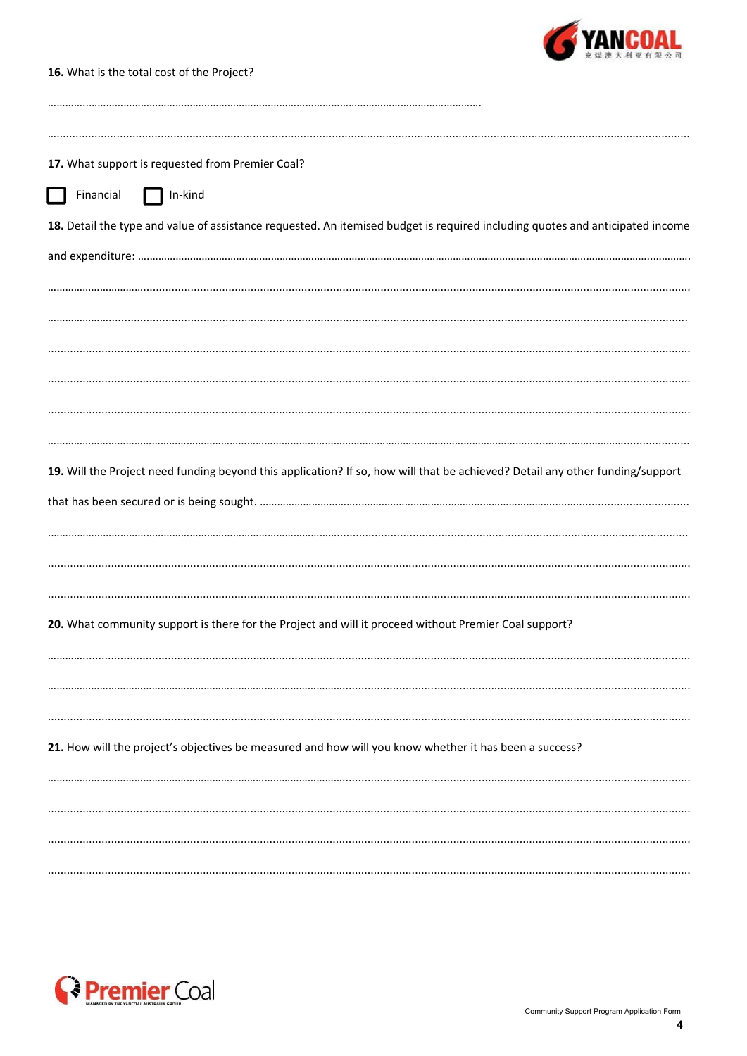

16. What is the total cost of the Project?

| 17. What support is requested from Premier Coal?                                                                              |
|-------------------------------------------------------------------------------------------------------------------------------|
| Financial<br>$\Box$ In-kind                                                                                                   |
| 18. Detail the type and value of assistance requested. An itemised budget is required including quotes and anticipated income |
|                                                                                                                               |
|                                                                                                                               |
|                                                                                                                               |
|                                                                                                                               |
|                                                                                                                               |
|                                                                                                                               |
| 19. Will the Project need funding beyond this application? If so, how will that be achieved? Detail any other funding/support |
|                                                                                                                               |
|                                                                                                                               |
|                                                                                                                               |
| 20. What community support is there for the Project and will it proceed without Premier Coal support?                         |
|                                                                                                                               |
|                                                                                                                               |
| 21. How will the project's objectives be measured and how will you know whether it has been a success?                        |
|                                                                                                                               |
|                                                                                                                               |
|                                                                                                                               |
|                                                                                                                               |